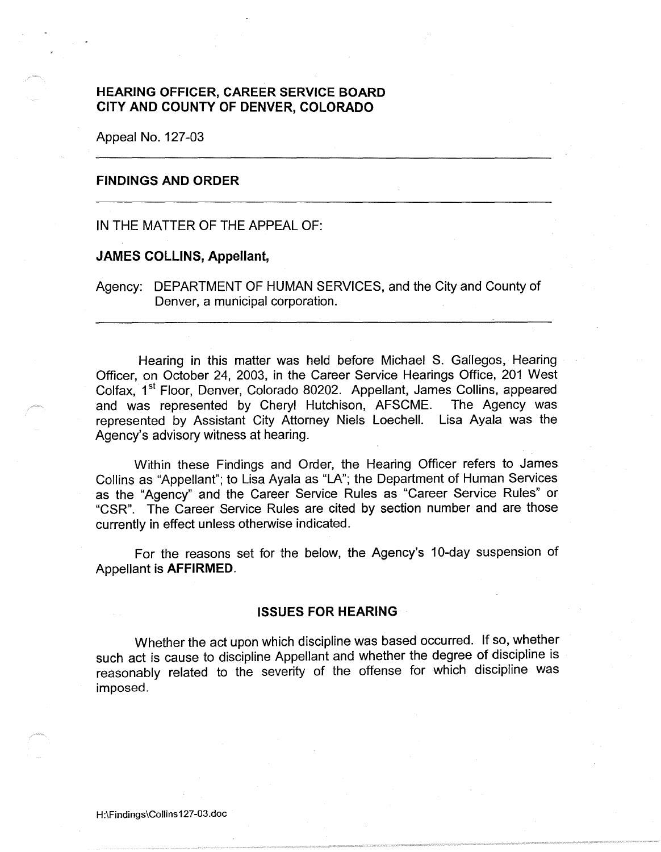# **HEARING OFFICER, CAREER SERVICE BOARD CITY AND COUNTY OF DENVER, COLORADO**

Appeal No. 127-03

## **FINDINGS AND ORDER**

IN THE MATTER OF THE APPEAL OF:

## **JAMES COLLINS, Appellant,**

Agency: DEPARTMENT OF HUMAN SERVICES, and the City and County of Denver, a municipal corporation.

Hearing in this matter was held before Michael S. Gallegos, Hearing Officer, on October 24, 2003, in the Career Service Hearings Office, 201 West Colfax, 1<sup>st</sup> Floor, Denver, Colorado 80202. Appellant, James Collins, appeared and was represented by Cheryl Hutchison, AFSCME. The Agency was represented by Assistant City Attorney Niels Loechell. Lisa Ayala was the Agency's advisory witness at hearing.

Within these Findings and Order, the Hearing Officer refers to James Collins as "Appellant"; to Lisa Ayala as "LA"; the Department of Human Services as the "Agency" and the Career Service Rules as "Career Service Rules" or "CSR". The Career Service Rules are cited by section number and are those currently in effect unless otherwise indicated.

For the reasons set for the below, the Agency's 10-day suspension of Appellant is **AFFIRMED.** 

#### **ISSUES FOR HEARING**

Whether the act upon which discipline was based occurred. If so, whether such act is cause to discipline Appellant and whether the degree of discipline is reasonably related to the severity of the offense for which discipline was imposed.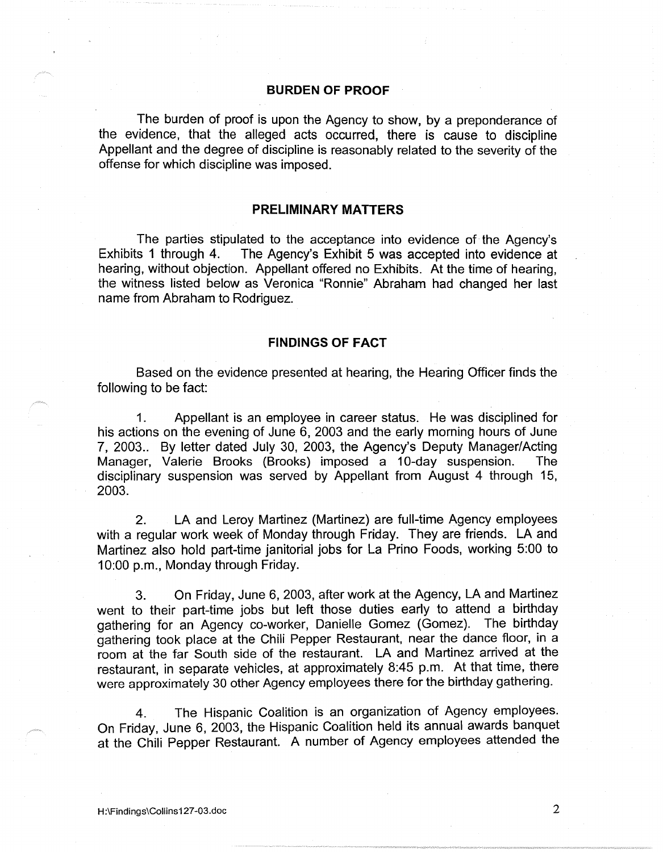#### **BURDEN OF PROOF**

The burden of proof is upon the Agency to show, by a preponderance of the evidence, that the alleged acts occurred, there is cause to discipline Appellant and the degree of discipline is reasonably related to the severity of the offense for which discipline was imposed.

# **PRELIMINARY MATTERS**

The parties stipulated to the acceptance into evidence of the Agency's Exhibits 1 through 4. The Agency's Exhibit 5 was accepted into evidence at hearing, without objection. Appellant offered no Exhibits. At the time of hearing, the witness listed below as Veronica "Ronnie" Abraham had changed her last name from Abraham to Rodriguez.

## **FINDINGS OF FACT**

Based on the evidence presented at hearing, the Hearing Officer finds the following to be fact:

1. Appellant is an employee in career status. He was disciplined for his actions on the evening of June 6, 2003 and the early morning hours of June 7, 2003.. By letter dated July 30, 2003, the Agency's Deputy Manager/Acting Manager, Valerie Brooks (Brooks) imposed a 10-day suspension. The disciplinary suspension was served by Appellant from August 4 through 15, 2003.

2. LA and Leroy Martinez (Martinez) are full-time Agency employees with a regular work week of Monday through Friday. They are friends. LA and Martinez also hold part-time janitorial jobs for La Prino Foods, working 5:00 to 10:00 p.m., Monday through Friday.

3. On Friday, June 6, 2003, after work at the Agency, LA and Martinez went to their part-time jobs but left those duties early to attend a birthday gathering for an Agency co-worker, Danielle Gomez (Gomez). The birthday gathering took place at the Chili Pepper Restaurant, near the dance floor, in a room at the far South side of the restaurant. LA and Martinez arrived at the restaurant, in separate vehicles, at approximately 8:45 p.m. At that time, there were approximately 30 other Agency employees there for the birthday gathering.

4. The Hispanic Coalition is an organization of Agency employees. On Friday, June 6, 2003, the Hispanic Coalition held its annual awards banquet at the Chili Pepper Restaurant. A number of Agency employees attended the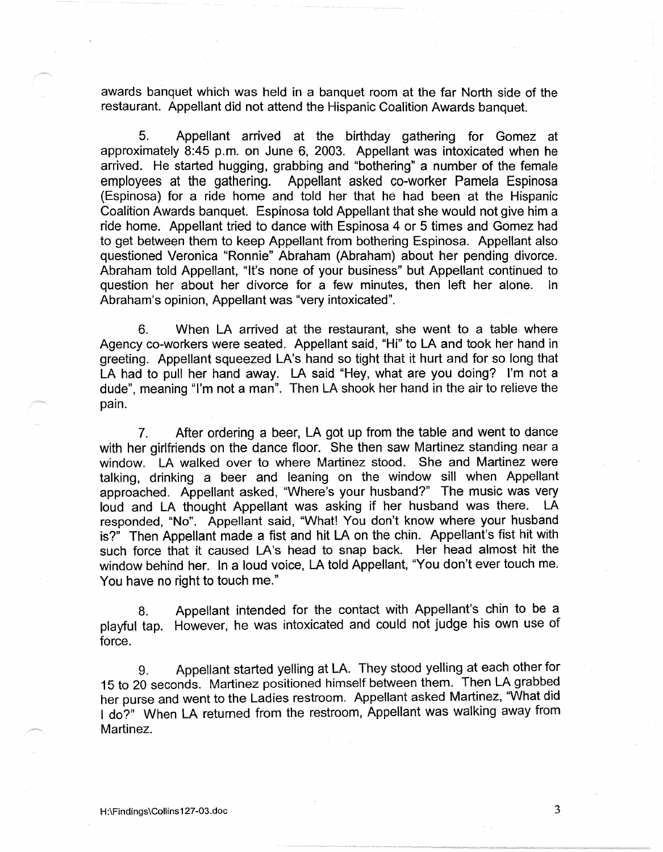awards banquet which was held in a banquet room at the far North side of the restaurant. Appellant did not attend the Hispanic Coalition Awards banquet.

5. Appellant arrived at the birthday gathering for Gomez at approximately 8:45 p.m. on June 6, 2003. Appellant was intoxicated when he arrived. He started hugging, grabbing and "bothering" a number of the female employees at the gathering. Appellant asked co-worker Pamela Espinosa (Espinosa) for a ride home and told her that he had been at the Hispanic Coalition Awards banquet. Espinosa told Appellant that she would not give him a ride home. Appellant tried to dance with Espinosa 4 or 5 times and Gomez had to get between them to keep Appellant from bothering Espinosa. Appellant also questioned Veronica "Ronnie" Abraham (Abraham) about her pending divorce. Abraham told Appellant, "It's none of your business" but Appellant continued to question her about her divorce for a few minutes, then left her alone. In Abraham's opinion, Appellant was "very intoxicated".

6. When LA arrived at the restaurant, she went to a table where Agency co-workers were seated. Appellant said, "Hi" to LA and took her hand in greeting. Appellant squeezed LA's hand so tight that it hurt and for so long that LA had to pull her hand away. LA said "Hey, what are you doing? I'm not a dude", meaning "I'm not a man". Then LA shook her hand in the air to relieve the pain.

7. After ordering a beer, LA got up from the table and went to dance with her girlfriends on the dance floor. She then saw Martinez standing near a window. LA walked over to where Martinez stood. She and Martinez were talking, drinking a beer and leaning on the window sill when Appellant approached. Appellant asked, "Where's your husband?" The music was very loud and LA thought Appellant was asking if her husband was there. LA responded, "No". Appellant said, "What! You don't know where your husband is?" Then Appellant made a fist and hit LA on the chin. Appellant's fist hit with such force that it caused LA's head to snap back. Her head almost hit the window behind her. In a loud voice, LA told Appellant, "You don't ever touch me. You have no right to touch me."

8. Appellant intended for the contact with Appellant's chin to be a playful tap. However, he was intoxicated and could not judge his own use of force.

9. Appellant started yelling at LA. They stood yelling at each other for 15 to 20 seconds. Martinez positioned himself between them. Then LA grabbed her purse and went to the Ladies restroom. Appellant asked Martinez, "What did I do?" When LA returned from the restroom, Appellant was walking away from Martinez.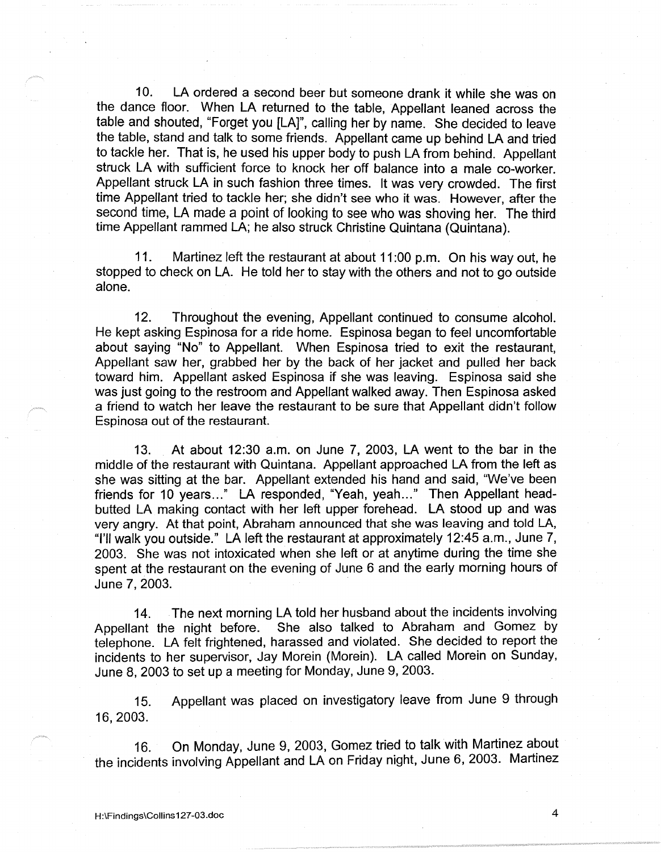10. LA ordered a second beer but someone drank it while she was on the dance floor. When LA returned to the table, Appellant leaned across the table and shouted, "Forget you [LA]", calling her by name. She decided to leave the table, stand and talk to some friends. Appellant came up behind LA and tried to tackle her. That is, he used his upper body to push LA from behind. Appellant struck LA with sufficient force to knock her off balance into a male co-worker. Appellant struck LA in such fashion three times. It was very crowded. The first time Appellant tried to tackle her; she didn't see who it was. However, after the second time, LA made a point of looking to see who was shoving her. The third time Appellant rammed LA; he also struck Christine Quintana (Quintana).

11. Martinez left the restaurant at about 11 :00 p.m. On his way out, he stopped to check on LA. He told her to stay with the others and not to go outside alone.

12. Throughout the evening, Appellant continued to consume alcohol. He kept asking Espinosa for a ride home. Espinosa began to feel uncomfortable about saying "No" to Appellant. When Espinosa tried to exit the restaurant, Appellant saw her, grabbed her by the back of her jacket and pulled her back toward him. Appellant asked Espinosa if she was leaving. Espinosa said she was just going to the restroom and Appellant walked away. Then Espinosa asked a friend to watch her leave the restaurant to be sure that Appellant didn't follow Espinosa out of the restaurant.

13. At about 12:30 a.m. on June 7, 2003, LA went to the bar in the middle of the restaurant with Quintana. Appellant approached LA from the left as she was sitting at the bar. Appellant extended his hand and said, "We've been friends for 10 years..." LA responded, "Yeah, yeah..." Then Appellant headbutted LA making contact with her left upper forehead. LA stood up and was very angry. At that point, Abraham announced that she was leaving and told LA, "I'll walk you outside." LA left the restaurant at approximately 12:45 a.m., June 7, 2003. She was not intoxicated when she left or at anytime during the time she spent at the restaurant on the evening of June 6 and the early morning hours of June 7, 2003.

14. The next morning LA told her husband about the incidents involving Appellant the night before. She also talked to Abraham and Gomez by telephone. LA felt frightened, harassed and violated. She decided to report the incidents to her supervisor, Jay Morein (Morein). LA called Morein on Sunday, June 8, 2003 to set up a meeting for Monday, June 9, 2003.

15. Appellant was placed on investigatory leave from June 9 through 16, 2003.

16. On Monday, June 9, 2003, Gomez tried to talk with Martinez about the incidents involving Appellant and LA on Friday night, June 6, 2003. Martinez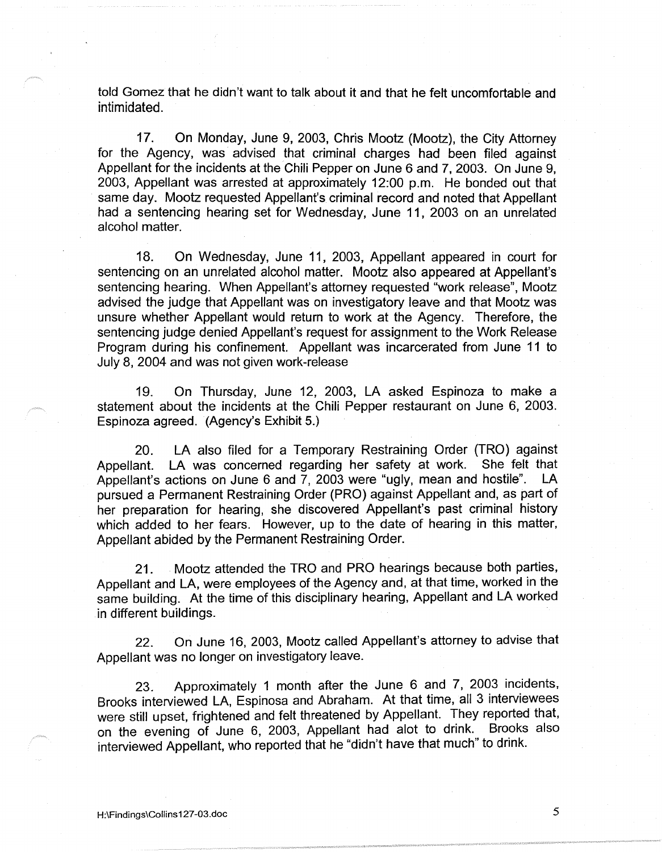told Gomez that he didn't want to talk about it and that he felt uncomfortable and intimidated.

17. On Monday, June 9, 2003, Chris Mootz (Mootz), the City Attorney for the Agency, was advised that criminal charges had been filed against Appellant for the incidents at the Chili Pepper on June 6 and 7, 2003. On June 9, 2003, Appellant was arrested at approximately 12:00 p.m. He bonded out that same day. Mootz requested Appellant's criminal record and noted that Appellant had a sentencing hearing set for Wednesday, June 11, 2003 on an unrelated alcohol matter.

18. On Wednesday, June 11, 2003, Appellant appeared in court for sentencing on an unrelated alcohol matter. Mootz also appeared at Appellant's sentencing hearing. When Appellant's attorney requested "work release", Mootz advised the judge that Appellant was on investigatory leave and that Mootz was unsure whether Appellant would return to work at the Agency. Therefore, the sentencing judge denied Appellant's request for assignment to the Work Release Program during his confinement. Appellant was incarcerated from June 11 to July 8, 2004 and was not given work-release

19. On Thursday, June 12, 2003, LA asked Espinoza to make a statement about the incidents at the Chili Pepper restaurant on June 6, 2003. Espinoza agreed. (Agency's Exhibit 5.)

20. LA also filed for a Temporary Restraining Order {TRO) against Appellant. LA was concerned regarding her safety at work. She felt that Appellant's actions on June 6 and 7, 2003 were "ugly, mean and hostile". LA pursued a Permanent Restraining Order (PRO) against Appellant and, as part of her preparation for hearing, she discovered Appellant's past criminal history which added to her fears. However, up to the date of hearing in this matter, Appellant abided by the Permanent Restraining Order.

21. Mootz attended the TRO and PRO hearings because both parties, Appellant and LA, were employees of the Agency and, at that time, worked in the same building. At the time of this disciplinary hearing, Appellant and LA worked in different buildings.

22. On June 16, 2003, Mootz called Appellant's attorney to advise that Appellant was no longer on investigatory leave.

23. Approximately 1 month after the June 6 and 7, 2003 incidents, Brooks interviewed LA, Espinosa and Abraham. At that time, all 3 interviewees were still upset, frightened and felt threatened by Appellant. They reported that, on the evening of June 6, 2003, Appellant had alot to drink. Brooks also interviewed Appellant, who reported that he "didn't have that much" to drink.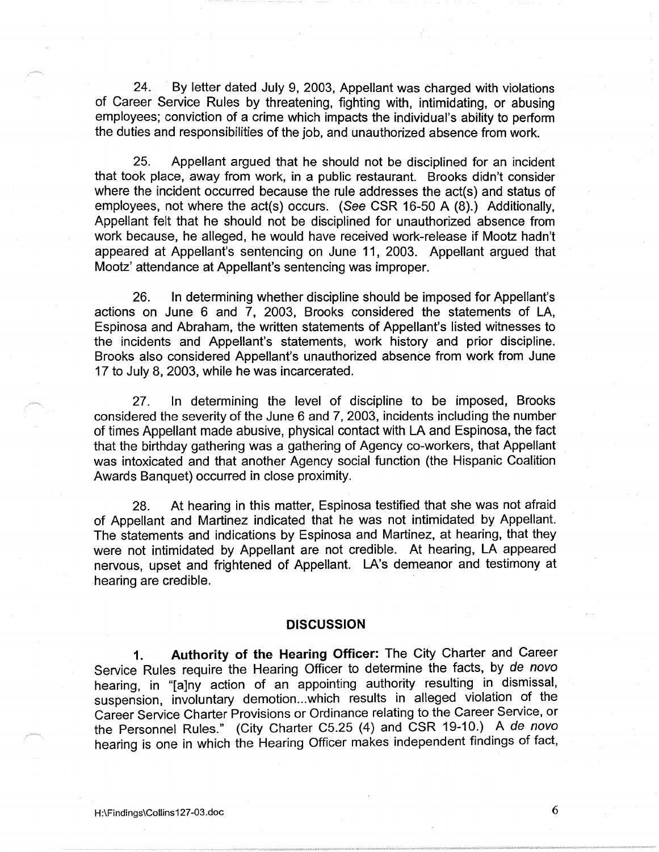24. By letter dated July 9, 2003, Appellant was charged with violations of Career Service Rules by threatening, fighting with, intimidating, or abusing employees; conviction of a crime which impacts the individual's ability to perform the duties and responsibilities of the job, and unauthorized absence from work.

25. Appellant argued that he should not be disciplined for an incident that took place, away from work, in a public restaurant. Brooks didn't consider where the incident occurred because the rule addresses the act(s) and status of employees, not where the act(s) occurs. (See CSR 16-50 A (8).) Additionally, Appellant felt that he should not be disciplined for unauthorized absence from work because, he alleged, he would have received work-release if Mootz hadn't appeared at Appellant's sentencing on June 11, 2003. Appellant argued that Mootz' attendance at Appellant's sentencing was improper.

26. In determining whether discipline should be imposed for Appellant's actions on June 6 and 7, 2003, Brooks considered the statements of LA, Espinosa and Abraham, the written statements of Appellant's listed witnesses to the incidents and Appellant's statements, work history and prior discipline. Brooks also considered Appellant's unauthorized absence from work from June 17 to July 8, 2003, while he was incarcerated.

27. In determining the level of discipline to be imposed, Brooks considered the severity of the June 6 and 7, 2003, incidents including the number of times Appellant made abusive, physical contact with LA and Espinosa, the fact that the birthday gathering was a gathering of Agency co-workers, that Appellant was intoxicated and that another Agency social function (the Hispanic Coalition Awards Banquet) occurred in close proximity.

28. At hearing in this matter, Espinosa testified that she was not afraid of Appellant and Martinez indicated that he was not intimidated by Appellant. The statements and indications by Espinosa and Martinez, at hearing, that they were not intimidated by Appellant are not credible. At hearing, LA appeared nervous, upset and frightened of Appellant. LA's demeanor and testimony at hearing are credible.

## **DISCUSSION**

**1. Authority of the Hearing Officer:** The City Charter and Career Service Rules require the Hearing Officer to determine the facts, by de novo hearing, in "[a]ny action of an appointing authority resulting in dismissal, suspension, involuntary demotion ... which results in alleged violation of the Career Service Charter Provisions or Ordinance relating to the Career Service, or the Personnel Rules." (City Charter C5.25 (4) and CSR 19-10.) A de novo hearing is one in which the Hearing Officer makes independent findings of fact,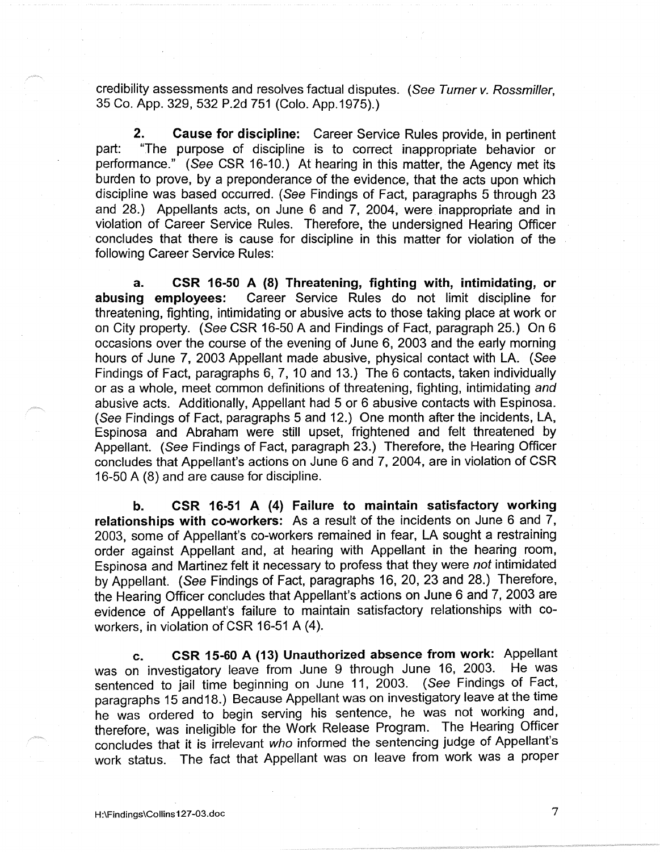credibility assessments and resolves factual disputes. (See Turner v. Rossmiller, 35 Co. App. 329, 532 P.2d 751 (Colo. App.1975).)

**2. Cause for discipline:** Career Service Rules provide, in pertinent part: "The purpose of discipline is to correct inappropriate behavior or performance." (See CSR 16-10.) At hearing in this matter, the Agency met its burden to prove, by a preponderance of the evidence, that the acts upon which discipline was based occurred. (See Findings of Fact, paragraphs 5 through 23 and 28.) Appellants acts, on June 6 and 7, 2004, were inappropriate and in violation of Career Sewice Rules. Therefore, the undersigned Hearing Officer · concludes that there is cause for discipline in this matter for violation of the following Career Service Rules:

**a. CSR 16-50 A (8) Threatening, fighting with, intimidating, or abusing employees:** Career Service Rules do not limit discipline for threatening, fighting, intimidating or abusive acts to those taking place at work or on City property. (See CSR 16-50 A and Findings of Fact, paragraph 25.) On 6 occasions over the course of the evening of June 6, 2003 and the early morning hours of June 7, 2003 Appellant made abusive, physical contact with LA. (See Findings of Fact, paragraphs 6, 7, 10 and 13.) The 6 contacts, taken individually or as a whole, meet common definitions of threatening, fighting, intimidating and abusive acts. Additionally, Appellant had 5 or 6 abusive contacts with Espinosa. (See Findings of Fact, paragraphs 5 and 12.) One month after the incidents, LA, Espinosa and Abraham were still upset, frightened and felt threatened by Appellant. (See Findings of Fact, paragraph 23.) Therefore, the Hearing Officer concludes that Appellant's actions on June 6 and 7, 2004, are in violation of CSR 16-50 A (8) and are cause for discipline.

**b. CSR 16-51 A (4) Failure to maintain satisfactory working relationships with co-workers:** As a result of the incidents on June 6 and 7, 2003, some of Appellant's co-workers remained in fear, LA sought a restraining order against Appellant and, at hearing with Appellant in the hearing room, Espinosa and Martinez felt it necessary to profess that they were not intimidated by Appellant. (See Findings of Fact, paragraphs 16, 20, 23 and 28.) Therefore, the Hearing Officer concludes that Appellant's actions on June 6 and 7, 2003 are evidence of Appellant's failure to maintain satisfactory relationships with coworkers, in violation of CSR 16-51 A (4).

**c. CSR 15-60 A (13) Unauthorized absence from work:** Appellant was on investigatory leave from June 9 through June 16, 2003. He was sentenced to jail time beginning on June 11, 2003. ( See Findings of Fact, paragraphs 15 and 18.) Because Appellant was on investigatory leave at the time he was ordered to begin serving his sentence, he was not working and, therefore, was ineligible for the Work Release Program. The Hearing Officer concludes that it is irrelevant who informed the sentencing judge of Appellant's work status. The fact that Appellant was on leave from work was a proper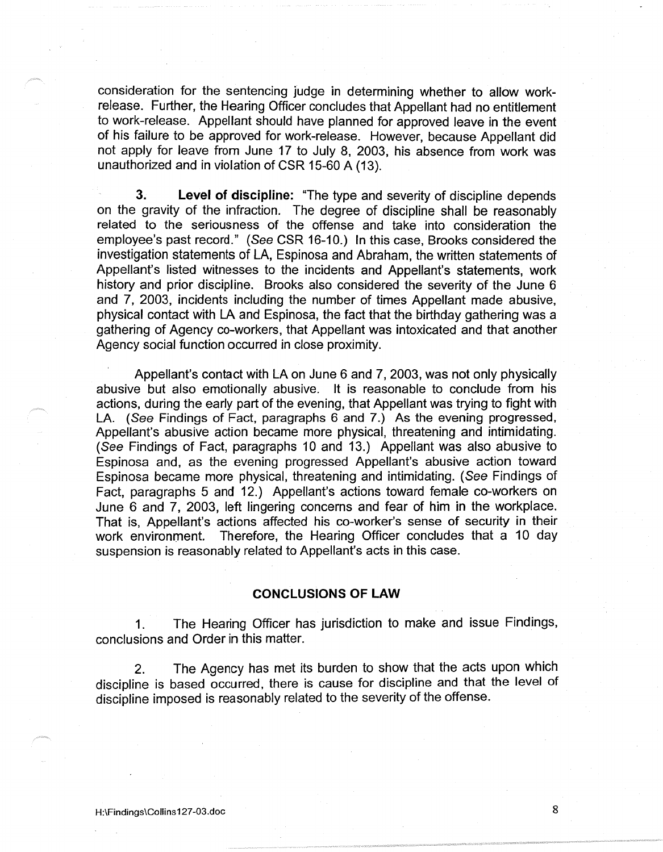consideration for the sentencing judge in determining whether to allow workrelease. Further, the Hearing Officer concludes that Appellant had no entitlement to work-release. Appellant should have planned for approved leave in the event of his failure to be approved for work-release. However, because Appellant did not apply for leave from June 17 to July 8, 2003, his absence from work was unauthorized and in violation of CSR 15-60 A (13).

**3. Level of discipline:** "The type and severity of discipline depends on the gravity of the infraction. The degree of discipline shall be reasonably related to the seriousness of the offense and take into consideration the employee's past record." (See CSR 16-10.) In this case, Brooks considered the investigation statements of LA, Espinosa and Abraham, the written statements of Appellant's listed witnesses to the incidents and Appellant's statements, work history and prior discipline. Brooks also considered the severity of the June 6 and 7, 2003, incidents including the number of times Appellant made abusive, physical contact with LA and Espinosa, the fact that the birthday gathering was a gathering of Agency co-workers, that Appellant was intoxicated and that another Agency social function occurred in close proximity.

Appellant's contact with LA on June 6 and 7, 2003, was not only physically abusive but also emotionally abusive. It is reasonable to conclude from his actions, during the early part of the evening, that Appellant was trying to fight with LA. (See Findings of Fact, paragraphs 6 and 7.) As the evening progressed, Appellant's abusive action became more physical, threatening and intimidating. (See Findings of Fact, paragraphs 10 and 13.) Appellant was also abusive to Espinosa and, as the evening progressed Appellant's abusive action toward Espinosa became more physical, threatening and intimidating. (See Findings of Fact, paragraphs 5 and 12.) Appellant's actions toward female co-workers on June 6 and 7, 2003, left lingering concerns and fear of him in the workplace. That is, Appellant's actions affected his co-worker's sense of security in their work environment. Therefore, the Hearing Officer concludes that a 10 day suspension is reasonably related to Appellant's acts in this case.

# **CONCLUSIONS OF LAW**

1. The Hearing Officer has jurisdiction to make and issue Findings, conclusions and Order in this matter.

2. The Agency has met its burden to show that the acts upon which discipline is based occurred, there is cause for discipline and that the level of discipline imposed is reasonably related to the severity of the offense.